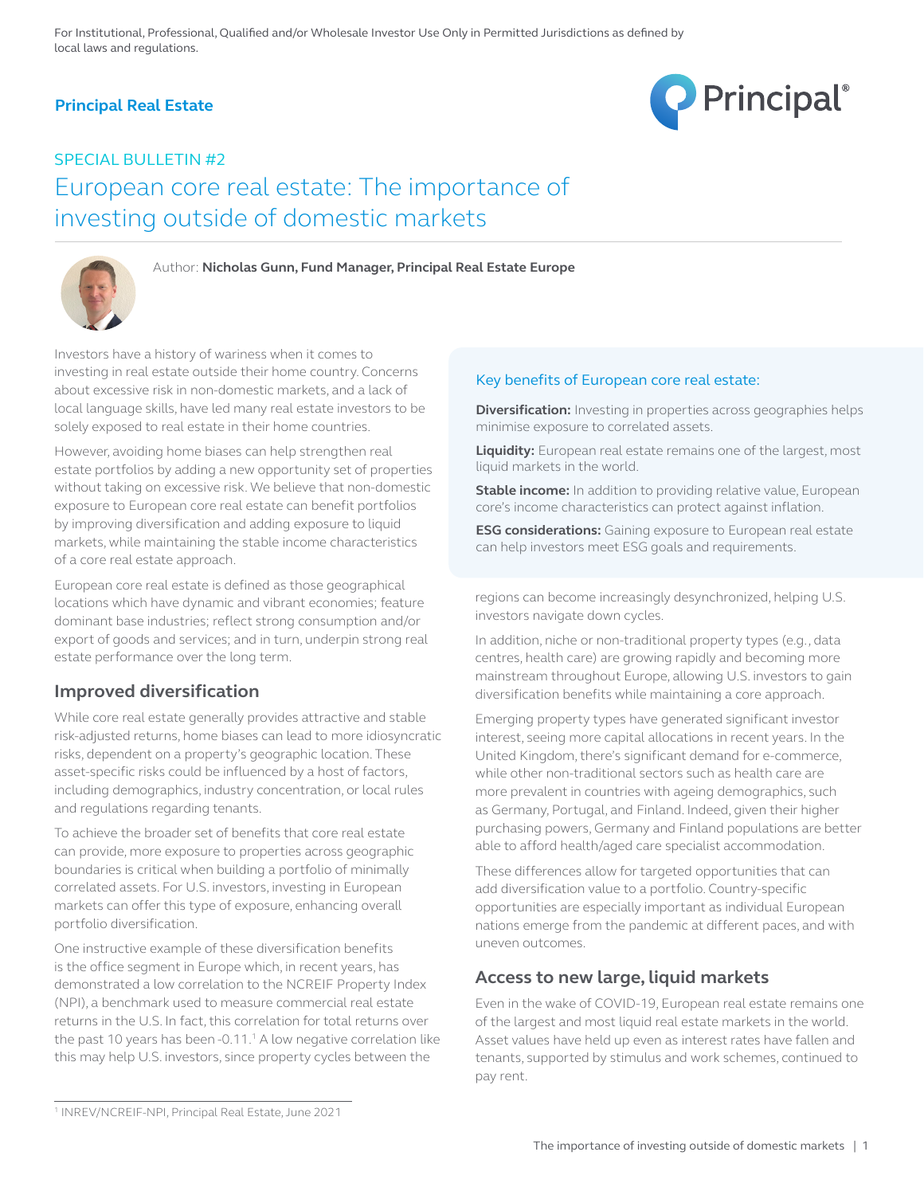# **Principal Real Estate**



# SPECIAL BULLETIN #2 European core real estate: The importance of investing outside of domestic markets



Author: **Nicholas Gunn, Fund Manager, Principal Real Estate Europe**

Investors have a history of wariness when it comes to investing in real estate outside their home country. Concerns about excessive risk in non-domestic markets, and a lack of local language skills, have led many real estate investors to be solely exposed to real estate in their home countries.

However, avoiding home biases can help strengthen real estate portfolios by adding a new opportunity set of properties without taking on excessive risk. We believe that non-domestic exposure to European core real estate can benefit portfolios by improving diversification and adding exposure to liquid markets, while maintaining the stable income characteristics of a core real estate approach.

European core real estate is defined as those geographical locations which have dynamic and vibrant economies; feature dominant base industries; reflect strong consumption and/or export of goods and services; and in turn, underpin strong real estate performance over the long term.

### **Improved diversification**

While core real estate generally provides attractive and stable risk-adjusted returns, home biases can lead to more idiosyncratic risks, dependent on a property's geographic location. These asset-specific risks could be influenced by a host of factors, including demographics, industry concentration, or local rules and regulations regarding tenants.

To achieve the broader set of benefits that core real estate can provide, more exposure to properties across geographic boundaries is critical when building a portfolio of minimally correlated assets. For U.S. investors, investing in European markets can offer this type of exposure, enhancing overall portfolio diversification.

One instructive example of these diversification benefits is the office segment in Europe which, in recent years, has demonstrated a low correlation to the NCREIF Property Index (NPI), a benchmark used to measure commercial real estate returns in the U.S. In fact, this correlation for total returns over the past 10 years has been -0.11. $<sup>1</sup>$  A low negative correlation like</sup> this may help U.S. investors, since property cycles between the

#### Key benefits of European core real estate:

**Diversification:** Investing in properties across geographies helps minimise exposure to correlated assets.

**Liquidity:** European real estate remains one of the largest, most liquid markets in the world.

**Stable income:** In addition to providing relative value, European core's income characteristics can protect against inflation.

**ESG considerations:** Gaining exposure to European real estate can help investors meet ESG goals and requirements.

regions can become increasingly desynchronized, helping U.S. investors navigate down cycles.

In addition, niche or non-traditional property types (e.g., data centres, health care) are growing rapidly and becoming more mainstream throughout Europe, allowing U.S. investors to gain diversification benefits while maintaining a core approach.

Emerging property types have generated significant investor interest, seeing more capital allocations in recent years. In the United Kingdom, there's significant demand for e-commerce, while other non-traditional sectors such as health care are more prevalent in countries with ageing demographics, such as Germany, Portugal, and Finland. Indeed, given their higher purchasing powers, Germany and Finland populations are better able to afford health/aged care specialist accommodation.

These differences allow for targeted opportunities that can add diversification value to a portfolio. Country-specific opportunities are especially important as individual European nations emerge from the pandemic at different paces, and with uneven outcomes.

### **Access to new large, liquid markets**

Even in the wake of COVID-19, European real estate remains one of the largest and most liquid real estate markets in the world. Asset values have held up even as interest rates have fallen and tenants, supported by stimulus and work schemes, continued to pay rent.

<sup>1</sup> INREV/NCREIF-NPI, Principal Real Estate, June 2021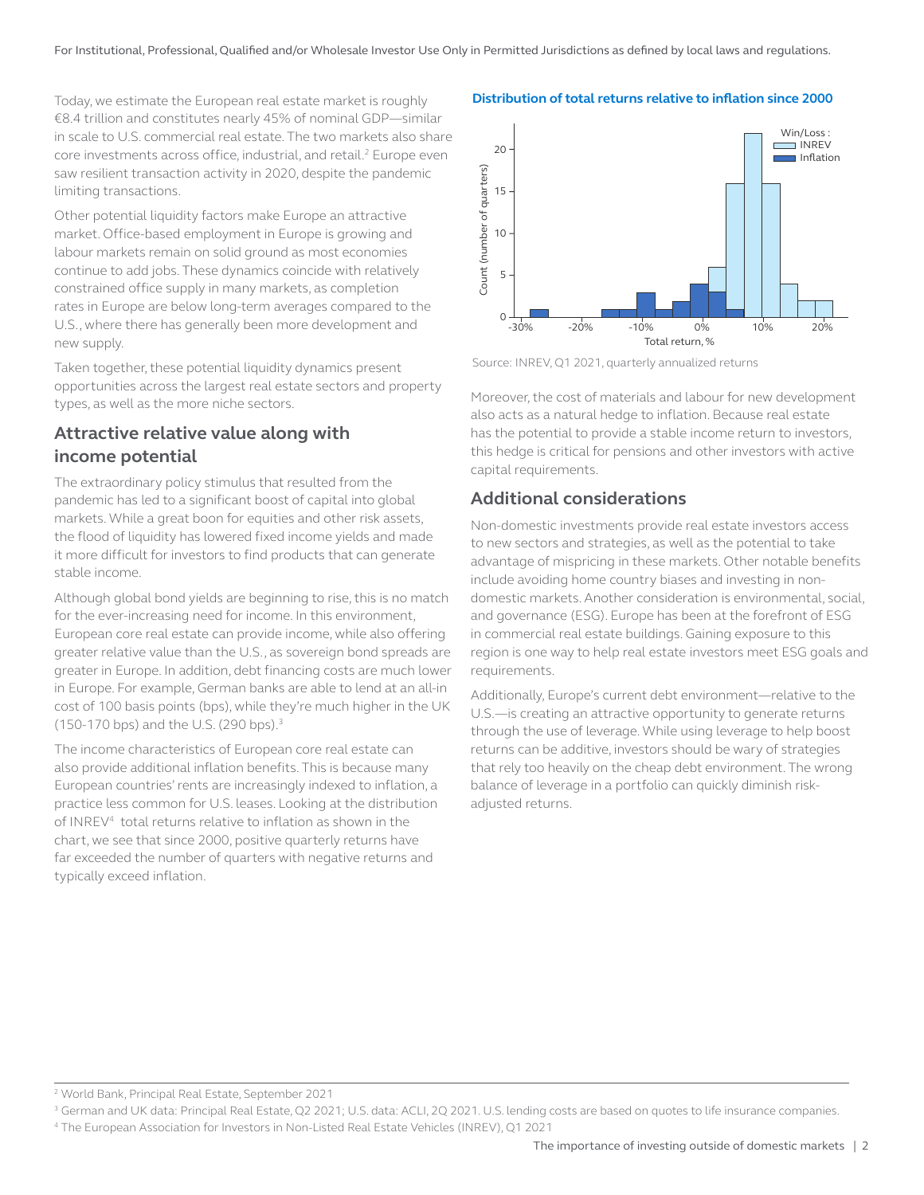Today, we estimate the European real estate market is roughly €8.4 trillion and constitutes nearly 45% of nominal GDP—similar in scale to U.S. commercial real estate. The two markets also share core investments across office, industrial, and retail.<sup>2</sup> Europe even saw resilient transaction activity in 2020, despite the pandemic limiting transactions.

Other potential liquidity factors make Europe an attractive market. Office-based employment in Europe is growing and labour markets remain on solid ground as most economies continue to add jobs. These dynamics coincide with relatively constrained office supply in many markets, as completion rates in Europe are below long-term averages compared to the U.S., where there has generally been more development and new supply.

Taken together, these potential liquidity dynamics present opportunities across the largest real estate sectors and property types, as well as the more niche sectors.

### **Attractive relative value along with income potential**

The extraordinary policy stimulus that resulted from the pandemic has led to a significant boost of capital into global markets. While a great boon for equities and other risk assets, the flood of liquidity has lowered fixed income yields and made it more difficult for investors to find products that can generate stable income.

Although global bond yields are beginning to rise, this is no match for the ever-increasing need for income. In this environment, European core real estate can provide income, while also offering greater relative value than the U.S., as sovereign bond spreads are greater in Europe. In addition, debt financing costs are much lower in Europe. For example, German banks are able to lend at an all-in cost of 100 basis points (bps), while they're much higher in the UK (150-170 bps) and the U.S. (290 bps).3

The income characteristics of European core real estate can also provide additional inflation benefits. This is because many European countries' rents are increasingly indexed to inflation, a practice less common for U.S. leases. Looking at the distribution of INREV4 total returns relative to inflation as shown in the chart, we see that since 2000, positive quarterly returns have far exceeded the number of quarters with negative returns and typically exceed inflation.





Source: INREV, Q1 2021, quarterly annualized returns

Moreover, the cost of materials and labour for new development also acts as a natural hedge to inflation. Because real estate has the potential to provide a stable income return to investors, this hedge is critical for pensions and other investors with active capital requirements.

### **Additional considerations**

Non-domestic investments provide real estate investors access to new sectors and strategies, as well as the potential to take advantage of mispricing in these markets. Other notable benefits include avoiding home country biases and investing in nondomestic markets. Another consideration is environmental, social, and governance (ESG). Europe has been at the forefront of ESG in commercial real estate buildings. Gaining exposure to this region is one way to help real estate investors meet ESG goals and requirements.

Additionally, Europe's current debt environment—relative to the U.S.—is creating an attractive opportunity to generate returns through the use of leverage. While using leverage to help boost returns can be additive, investors should be wary of strategies that rely too heavily on the cheap debt environment. The wrong balance of leverage in a portfolio can quickly diminish riskadjusted returns.

2 World Bank, Principal Real Estate, September 2021

<sup>3</sup> German and UK data: Principal Real Estate, Q2 2021; U.S. data: ACLI, 2Q 2021. U.S. lending costs are based on quotes to life insurance companies. 4 The European Association for Investors in Non-Listed Real Estate Vehicles (INREV), Q1 2021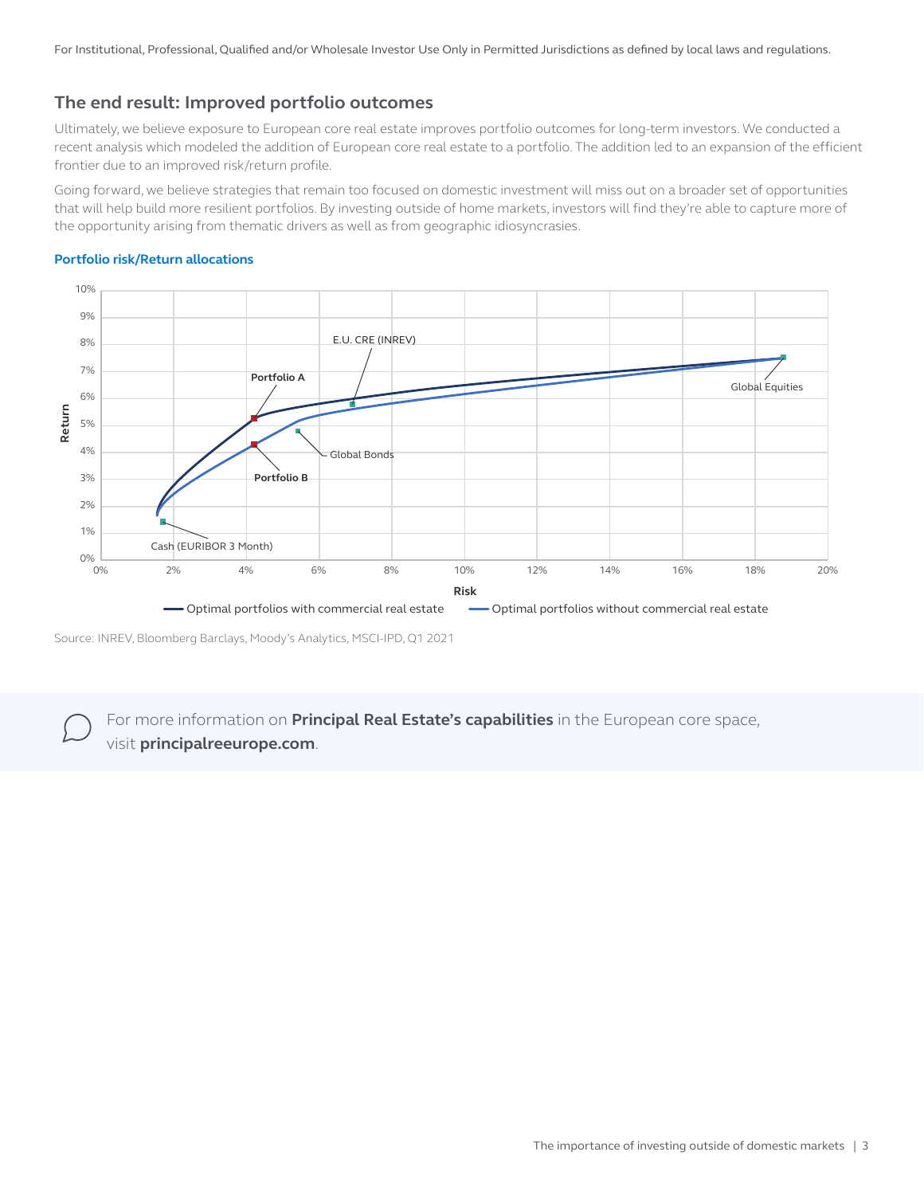For Institutional, Professional, Qualified and/or Wholesale Investor Use Only in Permitted Jurisdictions as defined by local laws and regulations.

# **The end result: Improved portfolio outcomes**

Ultimately, we believe exposure to European core real estate improves portfolio outcomes for long-term investors. We conducted a recent analysis which modeled the addition of European core real estate to a portfolio. The addition led to an expansion of the efficient frontier due to an improved risk/return profile.

Going forward, we believe strategies that remain too focused on domestic investment will miss out on a broader set of opportunities that will help build more resilient portfolios. By investing outside of home markets, investors will find they're able to capture more of the opportunity arising from thematic drivers as well as from geographic idiosyncrasies.



#### **Portfolio risk/Return allocations**

For more information on **Principal Real Estate's capabilities** in the European core space, visit **principalreeurope.com**.

Source: INREV, Bloomberg Barclays, Moody's Analytics, MSCI-IPD, Q1 2021